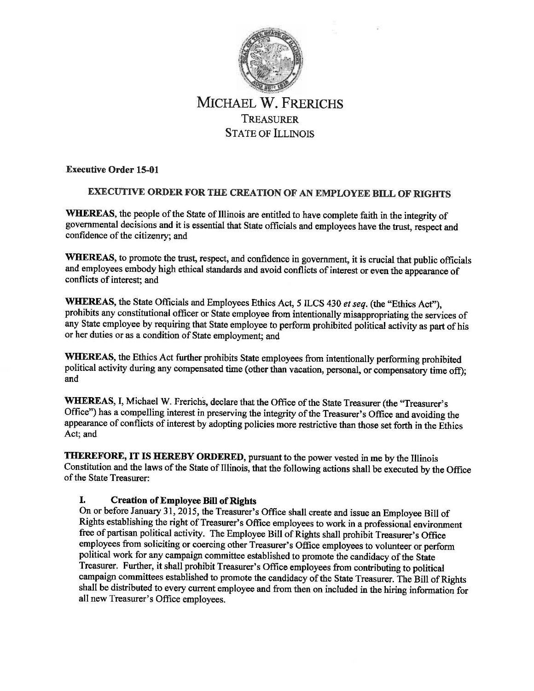

# MICHAEL W. FRERICHS TREASURER STATE OF ILLINOIS

**Executive Order 15-01** 

# **EXECUTIVE ORDER FOR THE CREATION OF AN EMPLOYEE BILL OF RIGHTS**

WHEREAS, the people of the State of Illinois are entitled to have complete faith in the integrity of governmental decisions and it is essential that State officials and employees have the trust, respect and confidence of the citizenry; and

**WHEREAS,** to promote the trust, respect, and confidence in government, it is crucial that public officials and employees embody high ethical standards and avoid conflicts of interest or even the appearance of conflicts of interest; and

**WHEREAS,** the State Officials and Employees Ethics Act, 5 ILCS 430 *et seq.* (the "Ethics Act"), prohibits any constitutional officer or State employee from intentionally misappropriating the services of any State employee by requiring that State employee to perform prohibited political activity as part of his or her duties or as a condition of State employment; and

**WHEREAS,** the Ethics Act further prohibits State employees from intentionally performing prohibited political activity during any compensated time (other than vacation, personal, or compensatory time off); and

WHEREAS, I, Michael W. Frerichs, declare that the Office of the State Treasurer (the "Treasurer's Office") has a compelling interest in preserving the integrity of the Treasurer's Office and avoiding the appearance of conflicts of interest by adopting policies more restrictive than those set forth in the Ethics Act; and

**THEREFORE,** IT **IS HEREBY ORDERED,** pursuant to the power vested in me by the Illinois Constitution and the laws of the State of Illinois, that the following actions shall be executed by the Office of the State Treasurer:

# **I.** Creation of Employee Bill of Rights

On or before January 31, 2015, the Treasurer's Office shall create and issue an Employee Bill of Rights establishing the right of Treasurer's Office employees to work in a professional environment free of partisan political activity. The Employee Bill of Rights shall prohibit Treasurer's Office employees from soliciting or coercing other Treasurer's Office employees to volunteer or perform political work for any campaign committee established to promote the candidacy of the State Treasurer. Further, it shall prohibit Treasurer's Office employees from contributing to political campaign committees established to promote the candidacy of the State Treasurer. The Bill of Rights shall be distributed to every current employee and from then on included in the hiring information for all new Treasurer's Office employees.